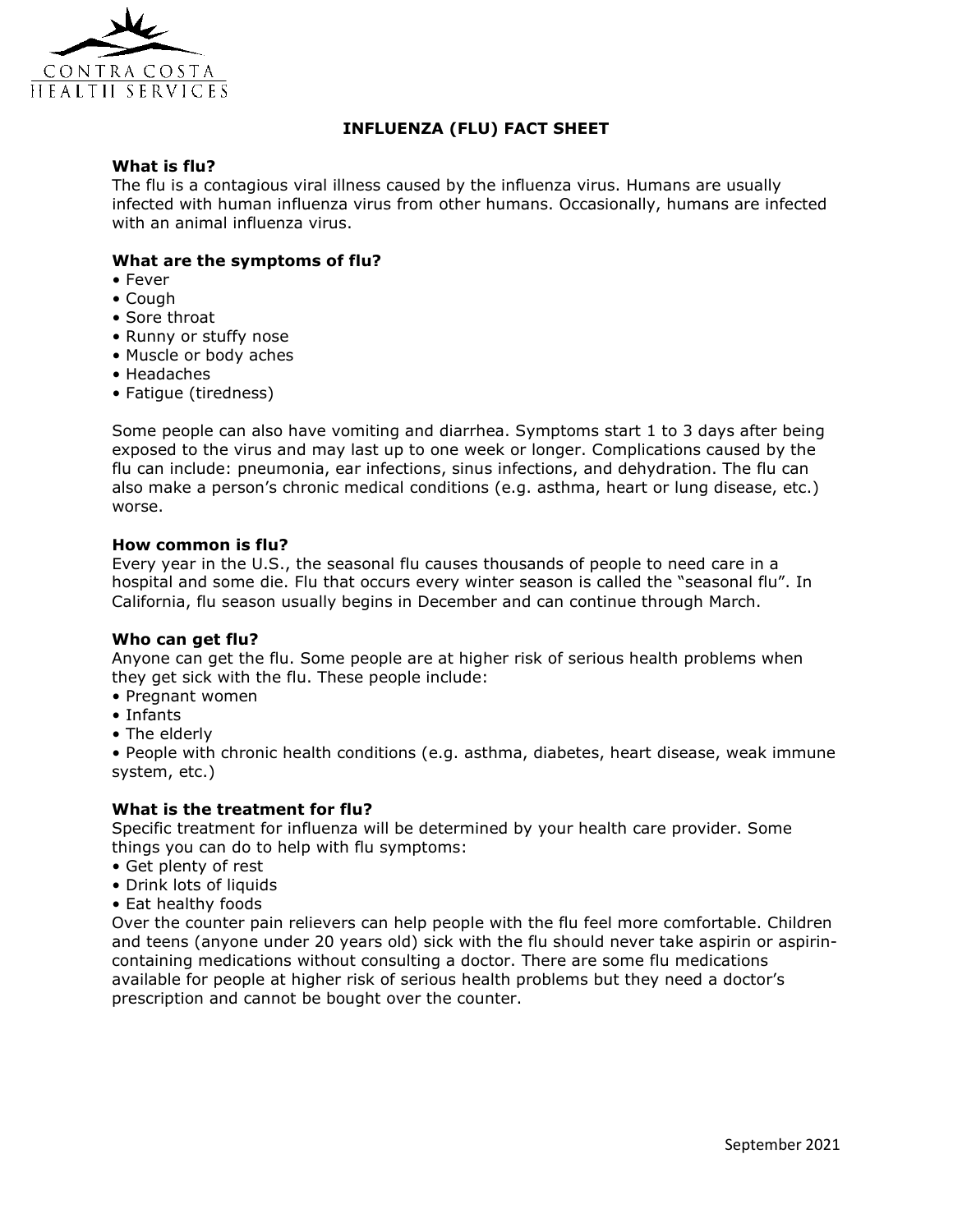

# **INFLUENZA (FLU) FACT SHEET**

# **What is flu?**

The flu is a contagious viral illness caused by the influenza virus. Humans are usually infected with human influenza virus from other humans. Occasionally, humans are infected with an animal influenza virus.

## **What are the symptoms of flu?**

- Fever
- Cough
- Sore throat
- Runny or stuffy nose
- Muscle or body aches
- Headaches
- Fatigue (tiredness)

Some people can also have vomiting and diarrhea. Symptoms start 1 to 3 days after being exposed to the virus and may last up to one week or longer. Complications caused by the flu can include: pneumonia, ear infections, sinus infections, and dehydration. The flu can also make a person's chronic medical conditions (e.g. asthma, heart or lung disease, etc.) worse.

#### **How common is flu?**

Every year in the U.S., the seasonal flu causes thousands of people to need care in a hospital and some die. Flu that occurs every winter season is called the "seasonal flu". In California, flu season usually begins in December and can continue through March.

#### **Who can get flu?**

Anyone can get the flu. Some people are at higher risk of serious health problems when they get sick with the flu. These people include:

- Pregnant women
- Infants
- The elderly

• People with chronic health conditions (e.g. asthma, diabetes, heart disease, weak immune system, etc.)

#### **What is the treatment for flu?**

Specific treatment for influenza will be determined by your health care provider. Some things you can do to help with flu symptoms:

- Get plenty of rest
- Drink lots of liquids
- Eat healthy foods

Over the counter pain relievers can help people with the flu feel more comfortable. Children and teens (anyone under 20 years old) sick with the flu should never take aspirin or aspirincontaining medications without consulting a doctor. There are some flu medications available for people at higher risk of serious health problems but they need a doctor's prescription and cannot be bought over the counter.